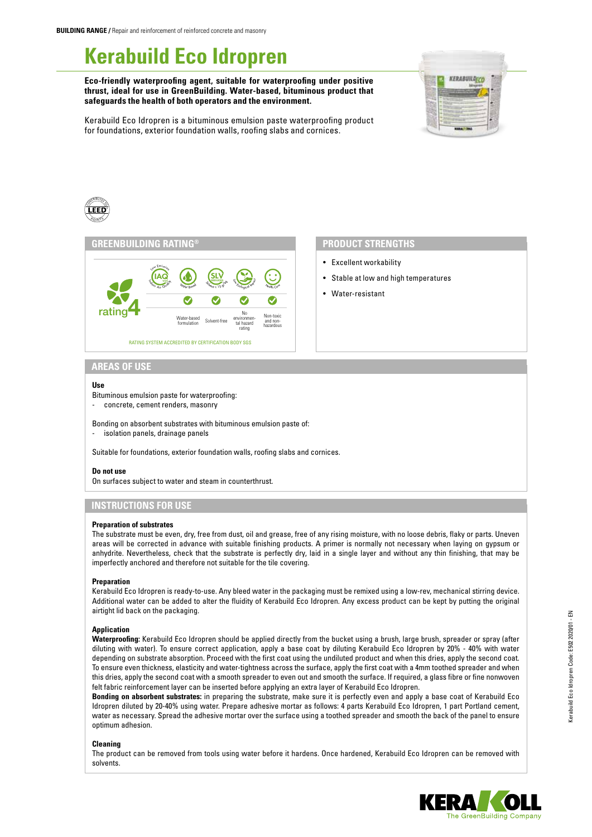# **Kerabuild Eco Idropren**

**Eco-friendly waterproofing agent, suitable for waterproofing under positive thrust, ideal for use in GreenBuilding. Water-based, bituminous product that safeguards the health of both operators and the environment.**





#### CONTRIBUTED <sup>P</sup> O <sup>I</sup> <sup>N</sup>75

#### **GREENBUILDING RATING®**



## **PRODUCT STRENGTHS**

- Excellent workability
- Stable at low and high temperatures
- Water-resistant

## **AREAS OF USE**

#### **Use**

Bituminous emulsion paste for waterproofing:

- concrete, cement renders, masonry

Bonding on absorbent substrates with bituminous emulsion paste of: isolation panels, drainage panels

Suitable for foundations, exterior foundation walls, roofing slabs and cornices.

#### **Do not use**

On surfaces subject to water and steam in counterthrust.

## **INSTRUCTIONS FOR USE**

#### **Preparation of substrates**

The substrate must be even, dry, free from dust, oil and grease, free of any rising moisture, with no loose debris, flaky or parts. Uneven areas will be corrected in advance with suitable finishing products. A primer is normally not necessary when laying on gypsum or anhydrite. Nevertheless, check that the substrate is perfectly dry, laid in a single layer and without any thin finishing, that may be imperfectly anchored and therefore not suitable for the tile covering.

#### **Preparation**

Kerabuild Eco Idropren is ready-to-use. Any bleed water in the packaging must be remixed using a low-rev, mechanical stirring device. Additional water can be added to alter the fluidity of Kerabuild Eco Idropren. Any excess product can be kept by putting the original airtight lid back on the packaging.

#### **Application**

**Waterproofing:** Kerabuild Eco Idropren should be applied directly from the bucket using a brush, large brush, spreader or spray (after diluting with water). To ensure correct application, apply a base coat by diluting Kerabuild Eco Idropren by 20% - 40% with water depending on substrate absorption. Proceed with the first coat using the undiluted product and when this dries, apply the second coat. To ensure even thickness, elasticity and water-tightness across the surface, apply the first coat with a 4mm toothed spreader and when this dries, apply the second coat with a smooth spreader to even out and smooth the surface. If required, a glass fibre or fine nonwoven felt fabric reinforcement layer can be inserted before applying an extra layer of Kerabuild Eco Idropren.

**Bonding on absorbent substrates:** in preparing the substrate, make sure it is perfectly even and apply a base coat of Kerabuild Eco Idropren diluted by 20-40% using water. Prepare adhesive mortar as follows: 4 parts Kerabuild Eco Idropren, 1 part Portland cement, water as necessary. Spread the adhesive mortar over the surface using a toothed spreader and smooth the back of the panel to ensure optimum adhesion.

#### **Cleaning**

The product can be removed from tools using water before it hardens. Once hardened, Kerabuild Eco Idropren can be removed with solvents.